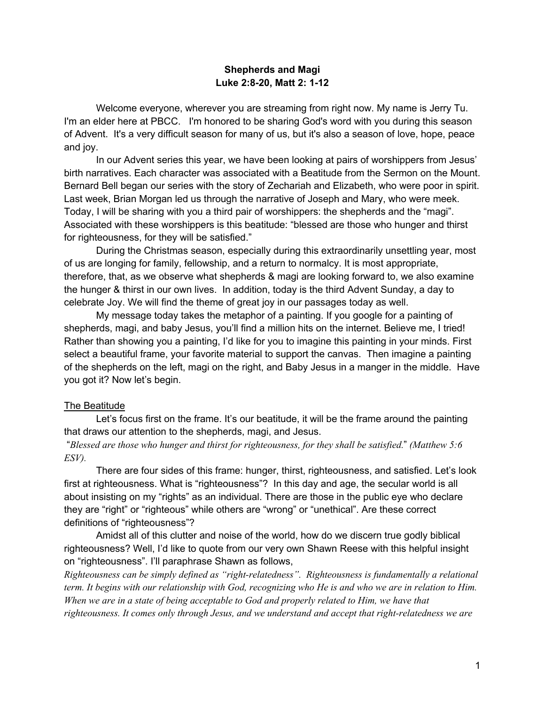### **Shepherds and Magi Luke 2:8-20, Matt 2: 1-12**

Welcome everyone, wherever you are streaming from right now. My name is Jerry Tu. I'm an elder here at PBCC. I'm honored to be sharing God's word with you during this season of Advent. It's a very difficult season for many of us, but it's also a season of love, hope, peace and joy.

In our Advent series this year, we have been looking at pairs of worshippers from Jesus' birth narratives. Each character was associated with a Beatitude from the Sermon on the Mount. Bernard Bell began our series with the story of Zechariah and Elizabeth, who were poor in spirit. Last week, Brian Morgan led us through the narrative of Joseph and Mary, who were meek. Today, I will be sharing with you a third pair of worshippers: the shepherds and the "magi". Associated with these worshippers is this beatitude: "blessed are those who hunger and thirst for righteousness, for they will be satisfied."

During the Christmas season, especially during this extraordinarily unsettling year, most of us are longing for family, fellowship, and a return to normalcy. It is most appropriate, therefore, that, as we observe what shepherds & magi are looking forward to, we also examine the hunger & thirst in our own lives. In addition, today is the third Advent Sunday, a day to celebrate Joy. We will find the theme of great joy in our passages today as well.

My message today takes the metaphor of a painting. If you google for a painting of shepherds, magi, and baby Jesus, you'll find a million hits on the internet. Believe me, I tried! Rather than showing you a painting, I'd like for you to imagine this painting in your minds. First select a beautiful frame, your favorite material to support the canvas. Then imagine a painting of the shepherds on the left, magi on the right, and Baby Jesus in a manger in the middle. Have you got it? Now let's begin.

#### The Beatitude

Let's focus first on the frame. It's our beatitude, it will be the frame around the painting that draws our attention to the shepherds, magi, and Jesus.

"*Blessed are those who hunger and thirst for righteousness, for they shall be satisfied.*" *(Matthew 5:6 ESV).*

There are four sides of this frame: hunger, thirst, righteousness, and satisfied. Let's look first at righteousness. What is "righteousness"? In this day and age, the secular world is all about insisting on my "rights" as an individual. There are those in the public eye who declare they are "right" or "righteous" while others are "wrong" or "unethical". Are these correct definitions of "righteousness"?

Amidst all of this clutter and noise of the world, how do we discern true godly biblical righteousness? Well, I'd like to quote from our very own Shawn Reese with this helpful insight on "righteousness". I'll paraphrase Shawn as follows,

*Righteousness can be simply defined as "right-relatedness". Righteousness is fundamentally a relational term. It begins with our relationship with God, recognizing who He is and who we are in relation to Him. When we are in a state of being acceptable to God and properly related to Him, we have that righteousness. It comes only through Jesus, and we understand and accept that right-relatedness we are*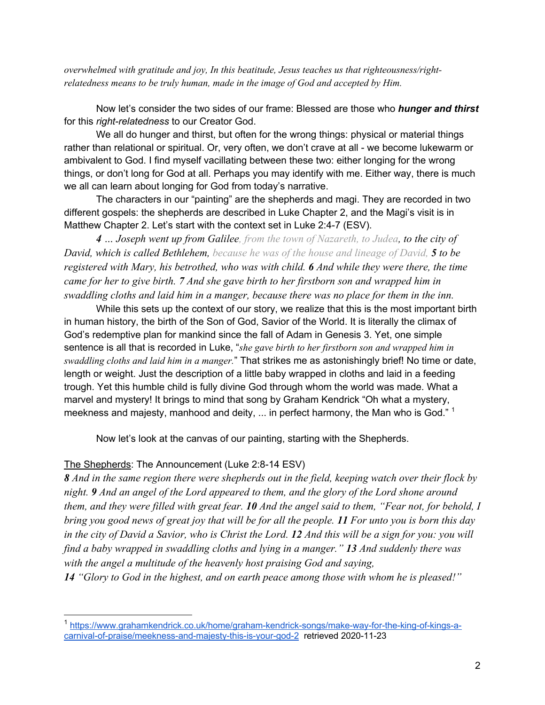*overwhelmed with gratitude and joy, In this beatitude, Jesus teaches us that righteousness/rightrelatedness means to be truly human, made in the image of God and accepted by Him.*

Now let's consider the two sides of our frame: Blessed are those who *hunger and thirst* for this *right-relatedness* to our Creator God.

We all do hunger and thirst, but often for the wrong things: physical or material things rather than relational or spiritual. Or, very often, we don't crave at all - we become lukewarm or ambivalent to God. I find myself vacillating between these two: either longing for the wrong things, or don't long for God at all. Perhaps you may identify with me. Either way, there is much we all can learn about longing for God from today's narrative.

The characters in our "painting" are the shepherds and magi. They are recorded in two different gospels: the shepherds are described in Luke Chapter 2, and the Magi's visit is in Matthew Chapter 2. Let's start with the context set in Luke 2:4-7 (ESV).

*4 … Joseph went up from Galilee, from the town of Nazareth, to Judea, to the city of David, which is called Bethlehem, because he was of the house and lineage of David, 5 to be registered with Mary, his betrothed, who was with child. 6 And while they were there, the time came for her to give birth. 7 And she gave birth to her firstborn son and wrapped him in swaddling cloths and laid him in a manger, because there was no place for them in the inn.*

While this sets up the context of our story, we realize that this is the most important birth in human history, the birth of the Son of God, Savior of the World. It is literally the climax of God's redemptive plan for mankind since the fall of Adam in Genesis 3. Yet, one simple sentence is all that is recorded in Luke, "*she gave birth to her firstborn son and wrapped him in swaddling cloths and laid him in a manger.*" That strikes me as astonishingly brief! No time or date, length or weight. Just the description of a little baby wrapped in cloths and laid in a feeding trough. Yet this humble child is fully divine God through whom the world was made. What a marvel and mystery! It brings to mind that song by Graham Kendrick "Oh what a mystery, meekness and majesty, manhood and deity, ... in perfect harmony, the Man who is God." <sup>1</sup>

Now let's look at the canvas of our painting, starting with the Shepherds.

### The Shepherds: The Announcement (Luke 2:8-14 ESV)

*8 And in the same region there were shepherds out in the field, keeping watch over their flock by night. 9 And an angel of the Lord appeared to them, and the glory of the Lord shone around them, and they were filled with great fear. 10 And the angel said to them, "Fear not, for behold, I bring you good news of great joy that will be for all the people. 11 For unto you is born this day in the city of David a Savior, who is Christ the Lord. 12 And this will be a sign for you: you will find a baby wrapped in swaddling cloths and lying in a manger." 13 And suddenly there was with the angel a multitude of the heavenly host praising God and saying,*

*14 "Glory to God in the highest, and on earth peace among those with whom he is pleased!"*

<sup>1</sup> https://www.grahamkendrick.co.uk/home/graham-kendrick-songs/make-way-for-the-king-of-kings-acarnival-of-praise/meekness-and-majesty-this-is-your-god-2 retrieved 2020-11-23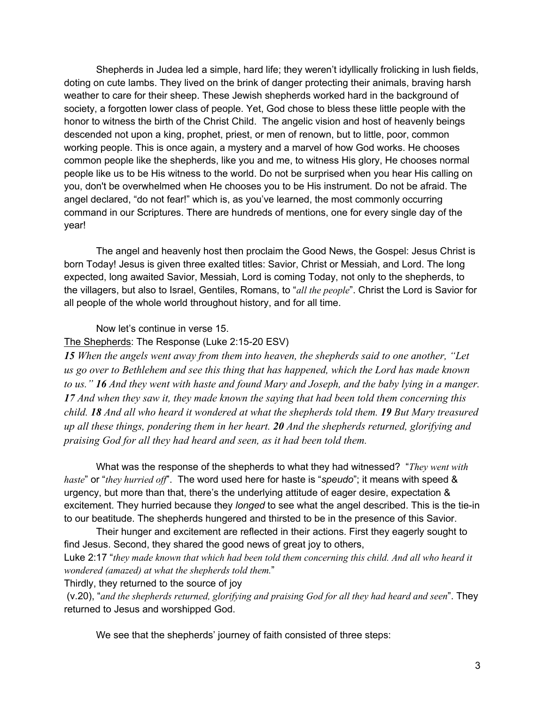Shepherds in Judea led a simple, hard life; they weren't idyllically frolicking in lush fields, doting on cute lambs. They lived on the brink of danger protecting their animals, braving harsh weather to care for their sheep. These Jewish shepherds worked hard in the background of society, a forgotten lower class of people. Yet, God chose to bless these little people with the honor to witness the birth of the Christ Child. The angelic vision and host of heavenly beings descended not upon a king, prophet, priest, or men of renown, but to little, poor, common working people. This is once again, a mystery and a marvel of how God works. He chooses common people like the shepherds, like you and me, to witness His glory, He chooses normal people like us to be His witness to the world. Do not be surprised when you hear His calling on you, don't be overwhelmed when He chooses you to be His instrument. Do not be afraid. The angel declared, "do not fear!" which is, as you've learned, the most commonly occurring command in our Scriptures. There are hundreds of mentions, one for every single day of the year!

The angel and heavenly host then proclaim the Good News, the Gospel: Jesus Christ is born Today! Jesus is given three exalted titles: Savior, Christ or Messiah, and Lord. The long expected, long awaited Savior, Messiah, Lord is coming Today, not only to the shepherds, to the villagers, but also to Israel, Gentiles, Romans, to "*all the people*". Christ the Lord is Savior for all people of the whole world throughout history, and for all time.

Now let's continue in verse 15.

#### The Shepherds: The Response (Luke 2:15-20 ESV)

*15 When the angels went away from them into heaven, the shepherds said to one another, "Let us go over to Bethlehem and see this thing that has happened, which the Lord has made known to us." 16 And they went with haste and found Mary and Joseph, and the baby lying in a manger. 17 And when they saw it, they made known the saying that had been told them concerning this child. 18 And all who heard it wondered at what the shepherds told them. 19 But Mary treasured up all these things, pondering them in her heart. 20 And the shepherds returned, glorifying and praising God for all they had heard and seen, as it had been told them.* 

What was the response of the shepherds to what they had witnessed? "*They went with haste*" or "*they hurried off*". The word used here for haste is "*speudo*"; it means with speed & urgency, but more than that, there's the underlying attitude of eager desire, expectation & excitement. They hurried because they *longed* to see what the angel described. This is the tie-in to our beatitude. The shepherds hungered and thirsted to be in the presence of this Savior.

Their hunger and excitement are reflected in their actions. First they eagerly sought to find Jesus. Second, they shared the good news of great joy to others,

Luke 2:17 "*they made known that which had been told them concerning this child. And all who heard it wondered (amazed) at what the shepherds told them.*"

Thirdly, they returned to the source of joy

(v.20), "*and the shepherds returned, glorifying and praising God for all they had heard and seen*". They returned to Jesus and worshipped God.

We see that the shepherds' journey of faith consisted of three steps: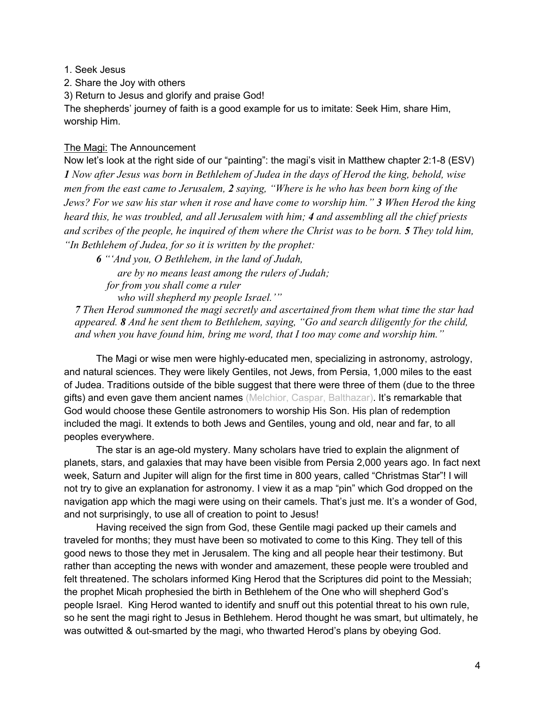1. Seek Jesus

2. Share the Joy with others

3) Return to Jesus and glorify and praise God!

The shepherds' journey of faith is a good example for us to imitate: Seek Him, share Him, worship Him.

## The Magi: The Announcement

Now let's look at the right side of our "painting": the magi's visit in Matthew chapter 2:1-8 (ESV) *1 Now after Jesus was born in Bethlehem of Judea in the days of Herod the king, behold, wise men from the east came to Jerusalem, 2 saying, "Where is he who has been born king of the Jews? For we saw his star when it rose and have come to worship him." 3 When Herod the king heard this, he was troubled, and all Jerusalem with him; 4 and assembling all the chief priests and scribes of the people, he inquired of them where the Christ was to be born. 5 They told him, "In Bethlehem of Judea, for so it is written by the prophet:*

*6 "'And you, O Bethlehem, in the land of Judah, are by no means least among the rulers of Judah; for from you shall come a ruler who will shepherd my people Israel.'"*

*7 Then Herod summoned the magi secretly and ascertained from them what time the star had appeared. 8 And he sent them to Bethlehem, saying, "Go and search diligently for the child, and when you have found him, bring me word, that I too may come and worship him."* 

The Magi or wise men were highly-educated men, specializing in astronomy, astrology, and natural sciences. They were likely Gentiles, not Jews, from Persia, 1,000 miles to the east of Judea. Traditions outside of the bible suggest that there were three of them (due to the three gifts) and even gave them ancient names (Melchior, Caspar, Balthazar). It's remarkable that God would choose these Gentile astronomers to worship His Son. His plan of redemption included the magi. It extends to both Jews and Gentiles, young and old, near and far, to all peoples everywhere.

The star is an age-old mystery. Many scholars have tried to explain the alignment of planets, stars, and galaxies that may have been visible from Persia 2,000 years ago. In fact next week, Saturn and Jupiter will align for the first time in 800 years, called "Christmas Star"! I will not try to give an explanation for astronomy. I view it as a map "pin" which God dropped on the navigation app which the magi were using on their camels. That's just me. It's a wonder of God, and not surprisingly, to use all of creation to point to Jesus!

Having received the sign from God, these Gentile magi packed up their camels and traveled for months; they must have been so motivated to come to this King. They tell of this good news to those they met in Jerusalem. The king and all people hear their testimony. But rather than accepting the news with wonder and amazement, these people were troubled and felt threatened. The scholars informed King Herod that the Scriptures did point to the Messiah; the prophet Micah prophesied the birth in Bethlehem of the One who will shepherd God's people Israel. King Herod wanted to identify and snuff out this potential threat to his own rule, so he sent the magi right to Jesus in Bethlehem. Herod thought he was smart, but ultimately, he was outwitted & out-smarted by the magi, who thwarted Herod's plans by obeying God.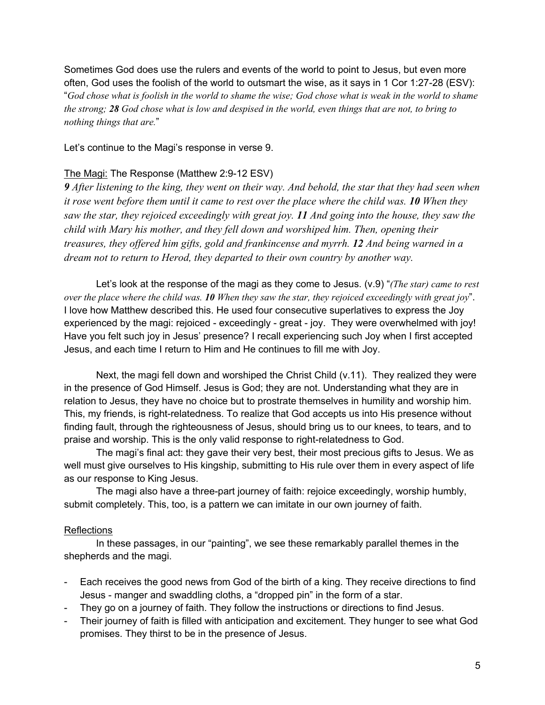Sometimes God does use the rulers and events of the world to point to Jesus, but even more often, God uses the foolish of the world to outsmart the wise, as it says in 1 Cor 1:27-28 (ESV): "*God chose what is foolish in the world to shame the wise; God chose what is weak in the world to shame the strong; 28 God chose what is low and despised in the world, even things that are not, to bring to nothing things that are.*"

Let's continue to the Magi's response in verse 9.

## The Magi: The Response (Matthew 2:9-12 ESV)

*9 After listening to the king, they went on their way. And behold, the star that they had seen when it rose went before them until it came to rest over the place where the child was. 10 When they saw the star, they rejoiced exceedingly with great joy. 11 And going into the house, they saw the child with Mary his mother, and they fell down and worshiped him. Then, opening their treasures, they offered him gifts, gold and frankincense and myrrh. 12 And being warned in a dream not to return to Herod, they departed to their own country by another way.*

Let's look at the response of the magi as they come to Jesus. (v.9) "*(The star) came to rest over the place where the child was. 10 When they saw the star, they rejoiced exceedingly with great joy*". I love how Matthew described this. He used four consecutive superlatives to express the Joy experienced by the magi: rejoiced - exceedingly - great - joy. They were overwhelmed with joy! Have you felt such joy in Jesus' presence? I recall experiencing such Joy when I first accepted Jesus, and each time I return to Him and He continues to fill me with Joy.

Next, the magi fell down and worshiped the Christ Child (v.11). They realized they were in the presence of God Himself. Jesus is God; they are not. Understanding what they are in relation to Jesus, they have no choice but to prostrate themselves in humility and worship him. This, my friends, is right-relatedness. To realize that God accepts us into His presence without finding fault, through the righteousness of Jesus, should bring us to our knees, to tears, and to praise and worship. This is the only valid response to right-relatedness to God.

The magi's final act: they gave their very best, their most precious gifts to Jesus. We as well must give ourselves to His kingship, submitting to His rule over them in every aspect of life as our response to King Jesus.

The magi also have a three-part journey of faith: rejoice exceedingly, worship humbly, submit completely. This, too, is a pattern we can imitate in our own journey of faith.

### Reflections

In these passages, in our "painting", we see these remarkably parallel themes in the shepherds and the magi.

- Each receives the good news from God of the birth of a king. They receive directions to find Jesus - manger and swaddling cloths, a "dropped pin" in the form of a star.
- They go on a journey of faith. They follow the instructions or directions to find Jesus.
- Their journey of faith is filled with anticipation and excitement. They hunger to see what God promises. They thirst to be in the presence of Jesus.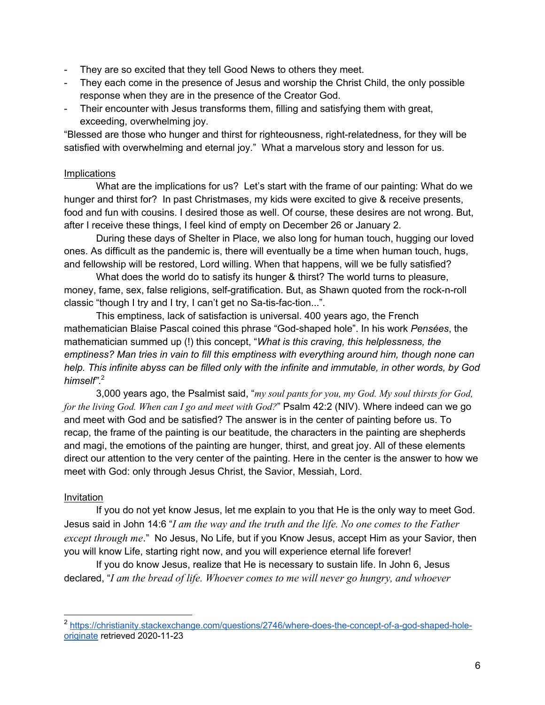- They are so excited that they tell Good News to others they meet.
- They each come in the presence of Jesus and worship the Christ Child, the only possible response when they are in the presence of the Creator God.
- Their encounter with Jesus transforms them, filling and satisfying them with great, exceeding, overwhelming joy.

"Blessed are those who hunger and thirst for righteousness, right-relatedness, for they will be satisfied with overwhelming and eternal joy." What a marvelous story and lesson for us.

## Implications

What are the implications for us? Let's start with the frame of our painting: What do we hunger and thirst for? In past Christmases, my kids were excited to give & receive presents, food and fun with cousins. I desired those as well. Of course, these desires are not wrong. But, after I receive these things, I feel kind of empty on December 26 or January 2.

During these days of Shelter in Place, we also long for human touch, hugging our loved ones. As difficult as the pandemic is, there will eventually be a time when human touch, hugs, and fellowship will be restored, Lord willing. When that happens, will we be fully satisfied?

What does the world do to satisfy its hunger & thirst? The world turns to pleasure, money, fame, sex, false religions, self-gratification. But, as Shawn quoted from the rock-n-roll classic "though I try and I try, I can't get no Sa-tis-fac-tion...".

This emptiness, lack of satisfaction is universal. 400 years ago, the French mathematician Blaise Pascal coined this phrase "God-shaped hole". In his work *Pensées*, the mathematician summed up (!) this concept, "*What is this craving, this helplessness, the emptiness? Man tries in vain to fill this emptiness with everything around him, though none can help. This infinite abyss can be filled only with the infinite and immutable, in other words, by God himself"*. 2

3,000 years ago, the Psalmist said, "*my soul pants for you, my God. My soul thirsts for God, for the living God. When can I go and meet with God?*" Psalm 42:2 (NIV). Where indeed can we go and meet with God and be satisfied? The answer is in the center of painting before us. To recap, the frame of the painting is our beatitude, the characters in the painting are shepherds and magi, the emotions of the painting are hunger, thirst, and great joy. All of these elements direct our attention to the very center of the painting. Here in the center is the answer to how we meet with God: only through Jesus Christ, the Savior, Messiah, Lord.

# Invitation

If you do not yet know Jesus, let me explain to you that He is the only way to meet God. Jesus said in John 14:6 "*I am the way and the truth and the life. No one comes to the Father except through me*." No Jesus, No Life, but if you Know Jesus, accept Him as your Savior, then you will know Life, starting right now, and you will experience eternal life forever!

If you do know Jesus, realize that He is necessary to sustain life. In John 6, Jesus declared, "*I am the bread of life. Whoever comes to me will never go hungry, and whoever* 

<sup>&</sup>lt;sup>2</sup> https://christianity.stackexchange.com/questions/2746/where-does-the-concept-of-a-god-shaped-holeoriginate retrieved 2020-11-23